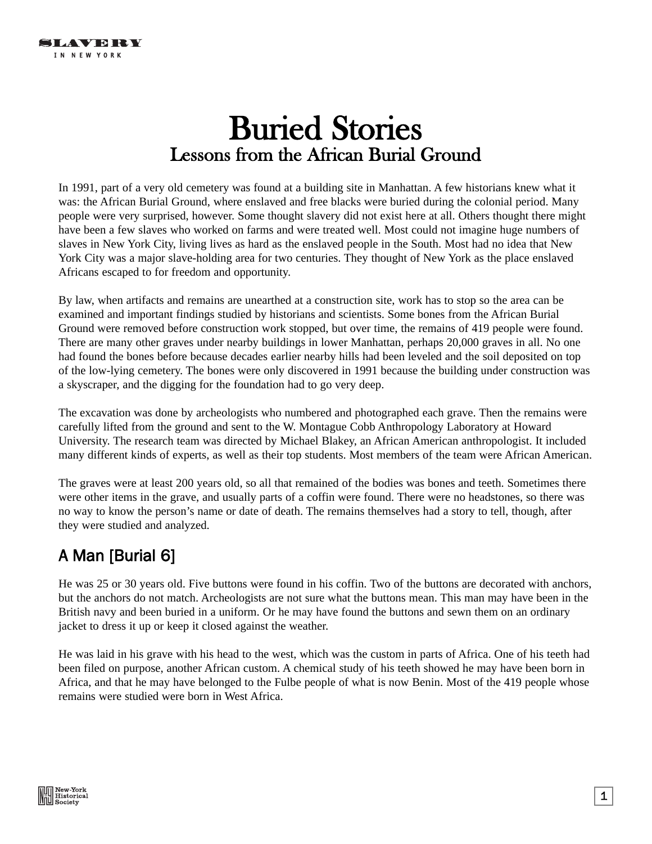# Buried Stories Lessons from the African Burial Ground

In 1991, part of a very old cemetery was found at a building site in Manhattan. A few historians knew what it was: the African Burial Ground, where enslaved and free blacks were buried during the colonial period. Many people were very surprised, however. Some thought slavery did not exist here at all. Others thought there might have been a few slaves who worked on farms and were treated well. Most could not imagine huge numbers of slaves in New York City, living lives as hard as the enslaved people in the South. Most had no idea that New York City was a major slave-holding area for two centuries. They thought of New York as the place enslaved Africans escaped to for freedom and opportunity.

By law, when artifacts and remains are unearthed at a construction site, work has to stop so the area can be examined and important findings studied by historians and scientists. Some bones from the African Burial Ground were removed before construction work stopped, but over time, the remains of 419 people were found. There are many other graves under nearby buildings in lower Manhattan, perhaps 20,000 graves in all. No one had found the bones before because decades earlier nearby hills had been leveled and the soil deposited on top of the low-lying cemetery. The bones were only discovered in 1991 because the building under construction was a skyscraper, and the digging for the foundation had to go very deep.

The excavation was done by archeologists who numbered and photographed each grave. Then the remains were carefully lifted from the ground and sent to the W. Montague Cobb Anthropology Laboratory at Howard University. The research team was directed by Michael Blakey, an African American anthropologist. It included many different kinds of experts, as well as their top students. Most members of the team were African American.

The graves were at least 200 years old, so all that remained of the bodies was bones and teeth. Sometimes there were other items in the grave, and usually parts of a coffin were found. There were no headstones, so there was no way to know the person's name or date of death. The remains themselves had a story to tell, though, after they were studied and analyzed.

### A Man [Burial 6]

He was 25 or 30 years old. Five buttons were found in his coffin. Two of the buttons are decorated with anchors, but the anchors do not match. Archeologists are not sure what the buttons mean. This man may have been in the British navy and been buried in a uniform. Or he may have found the buttons and sewn them on an ordinary jacket to dress it up or keep it closed against the weather.

He was laid in his grave with his head to the west, which was the custom in parts of Africa. One of his teeth had been filed on purpose, another African custom. A chemical study of his teeth showed he may have been born in Africa, and that he may have belonged to the Fulbe people of what is now Benin. Most of the 419 people whose remains were studied were born in West Africa.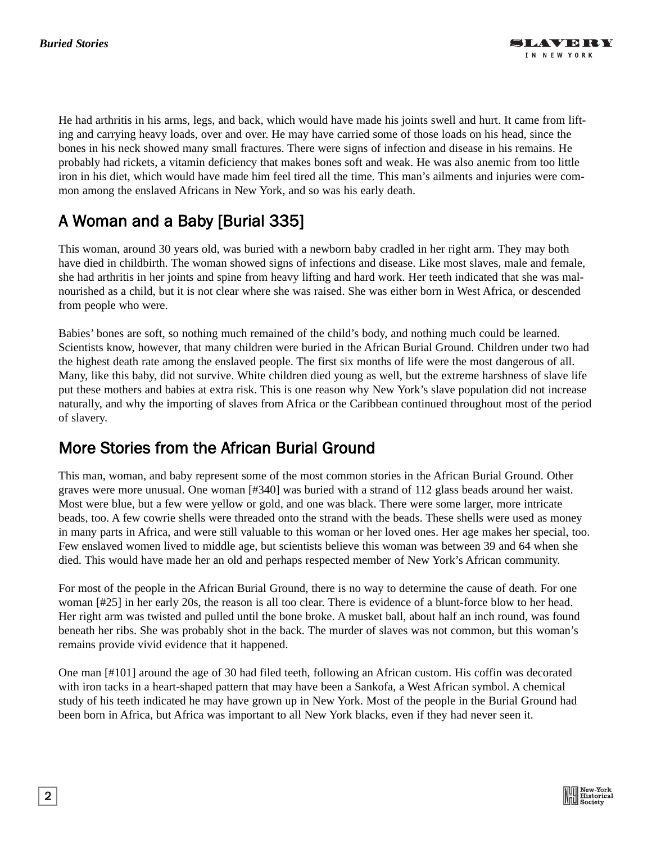He had arthritis in his arms, legs, and back, which would have made his joints swell and hurt. It came from lifting and carrying heavy loads, over and over. He may have carried some of those loads on his head, since the bones in his neck showed many small fractures. There were signs of infection and disease in his remains. He probably had rickets, a vitamin deficiency that makes bones soft and weak. He was also anemic from too little iron in his diet, which would have made him feel tired all the time. This man's ailments and injuries were common among the enslaved Africans in New York, and so was his early death.

## A Woman and a Baby [Burial 335]

This woman, around 30 years old, was buried with a newborn baby cradled in her right arm. They may both have died in childbirth. The woman showed signs of infections and disease. Like most slaves, male and female, she had arthritis in her joints and spine from heavy lifting and hard work. Her teeth indicated that she was malnourished as a child, but it is not clear where she was raised. She was either born in West Africa, or descended from people who were.

Babies' bones are soft, so nothing much remained of the child's body, and nothing much could be learned. Scientists know, however, that many children were buried in the African Burial Ground. Children under two had the highest death rate among the enslaved people. The first six months of life were the most dangerous of all. Many, like this baby, did not survive. White children died young as well, but the extreme harshness of slave life put these mothers and babies at extra risk. This is one reason why New York's slave population did not increase naturally, and why the importing of slaves from Africa or the Caribbean continued throughout most of the period of slavery.

#### More Stories from the African Burial Ground

This man, woman, and baby represent some of the most common stories in the African Burial Ground. Other graves were more unusual. One woman [#340] was buried with a strand of 112 glass beads around her waist. Most were blue, but a few were yellow or gold, and one was black. There were some larger, more intricate beads, too. A few cowrie shells were threaded onto the strand with the beads. These shells were used as money in many parts in Africa, and were still valuable to this woman or her loved ones. Her age makes her special, too. Few enslaved women lived to middle age, but scientists believe this woman was between 39 and 64 when she died. This would have made her an old and perhaps respected member of New York's African community.

For most of the people in the African Burial Ground, there is no way to determine the cause of death. For one woman [#25] in her early 20s, the reason is all too clear. There is evidence of a blunt-force blow to her head. Her right arm was twisted and pulled until the bone broke. A musket ball, about half an inch round, was found beneath her ribs. She was probably shot in the back. The murder of slaves was not common, but this woman's remains provide vivid evidence that it happened.

One man [#101] around the age of 30 had filed teeth, following an African custom. His coffin was decorated with iron tacks in a heart-shaped pattern that may have been a Sankofa, a West African symbol. A chemical study of his teeth indicated he may have grown up in New York. Most of the people in the Burial Ground had been born in Africa, but Africa was important to all New York blacks, even if they had never seen it.